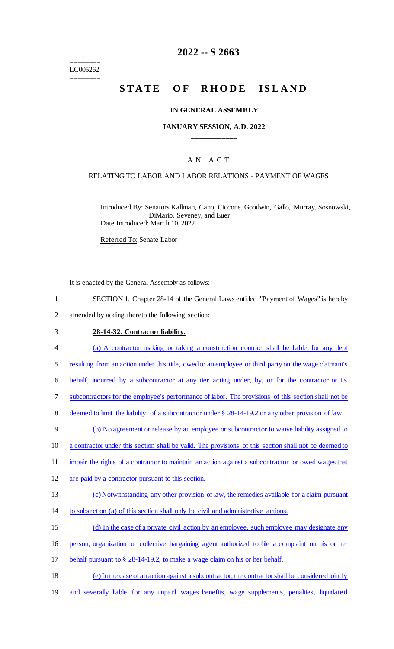======== LC005262 ========

## **2022 -- S 2663**

# STATE OF RHODE ISLAND

#### **IN GENERAL ASSEMBLY**

### **JANUARY SESSION, A.D. 2022 \_\_\_\_\_\_\_\_\_\_\_\_**

### A N A C T

#### RELATING TO LABOR AND LABOR RELATIONS - PAYMENT OF WAGES

Introduced By: Senators Kallman, Cano, Ciccone, Goodwin, Gallo, Murray, Sosnowski, DiMario, Seveney, and Euer Date Introduced: March 10, 2022

Referred To: Senate Labor

It is enacted by the General Assembly as follows:

- 1 SECTION 1. Chapter 28-14 of the General Laws entitled "Payment of Wages" is hereby
- 2 amended by adding thereto the following section:

#### 3 **28-14-32. Contractor liability.**

- 4 (a) A contractor making or taking a construction contract shall be liable for any debt
- 5 resulting from an action under this title, owed to an employee or third party on the wage claimant's
- 6 behalf, incurred by a subcontractor at any tier acting under, by, or for the contractor or its
- 7 subcontractors for the employee's performance of labor. The provisions of this section shall not be
- 8 deemed to limit the liability of a subcontractor under  $\S$  28-14-19.2 or any other provision of law.
- 9 (b) No agreement or release by an employee or subcontractor to waive liability assigned to
- 10 a contractor under this section shall be valid. The provisions of this section shall not be deemed to
- 11 impair the rights of a contractor to maintain an action against a subcontractor for owed wages that
- 12 are paid by a contractor pursuant to this section.
- 13 (c) Notwithstanding any other provision of law, the remedies available for a claim pursuant
- 14 to subsection (a) of this section shall only be civil and administrative actions.
- 15 (d) In the case of a private civil action by an employee, such employee may designate any
- 16 person, organization or collective bargaining agent authorized to file a complaint on his or her
- 17 behalf pursuant to § 28-14-19.2, to make a wage claim on his or her behalf.
- 18 (e) In the case of an action against a subcontractor, the contractor shall be considered jointly
- 19 and severally liable for any unpaid wages benefits, wage supplements, penalties, liquidated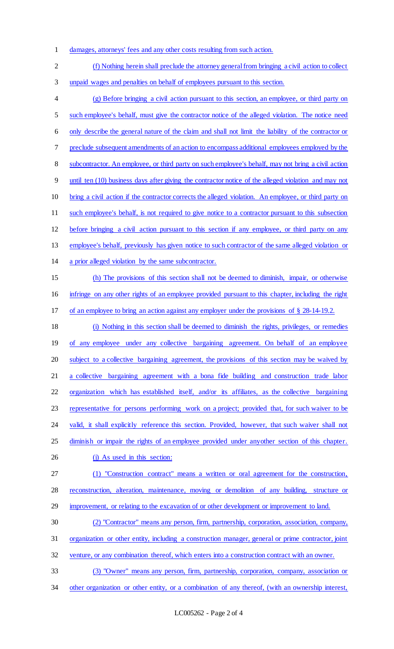- damages, attorneys' fees and any other costs resulting from such action.
- (f) Nothing herein shall preclude the attorney general from bringing a civil action to collect unpaid wages and penalties on behalf of employees pursuant to this section. (g) Before bringing a civil action pursuant to this section, an employee, or third party on such employee's behalf, must give the contractor notice of the alleged violation. The notice need only describe the general nature of the claim and shall not limit the liability of the contractor or preclude subsequent amendments of an action to encompass additional employees employed by the 8 subcontractor. An employee, or third party on such employee's behalf, may not bring a civil action until ten (10) business days after giving the contractor notice of the alleged violation and may not bring a civil action if the contractor corrects the alleged violation. An employee, or third party on such employee's behalf, is not required to give notice to a contractor pursuant to this subsection before bringing a civil action pursuant to this section if any employee, or third party on any employee's behalf, previously has given notice to such contractor of the same alleged violation or a prior alleged violation by the same subcontractor. (h) The provisions of this section shall not be deemed to diminish, impair, or otherwise infringe on any other rights of an employee provided pursuant to this chapter, including the right of an employee to bring an action against any employer under the provisions of § 28-14-19.2. (i) Nothing in this section shall be deemed to diminish the rights, privileges, or remedies 19 of any employee under any collective bargaining agreement. On behalf of an employee subject to a collective bargaining agreement, the provisions of this section may be waived by a collective bargaining agreement with a bona fide building and construction trade labor organization which has established itself, and/or its affiliates, as the collective bargaining representative for persons performing work on a project; provided that, for such waiver to be 24 valid, it shall explicitly reference this section. Provided, however, that such waiver shall not 25 diminish or impair the rights of an employee provided under anyother section of this chapter. 26 (j) As used in this section: (1) "Construction contract" means a written or oral agreement for the construction, reconstruction, alteration, maintenance, moving or demolition of any building, structure or 29 improvement, or relating to the excavation of or other development or improvement to land. (2) "Contractor" means any person, firm, partnership, corporation, association, company, organization or other entity, including a construction manager, general or prime contractor, joint venture, or any combination thereof, which enters into a construction contract with an owner. (3) "Owner" means any person, firm, partnership, corporation, company, association or 34 other organization or other entity, or a combination of any thereof, (with an ownership interest,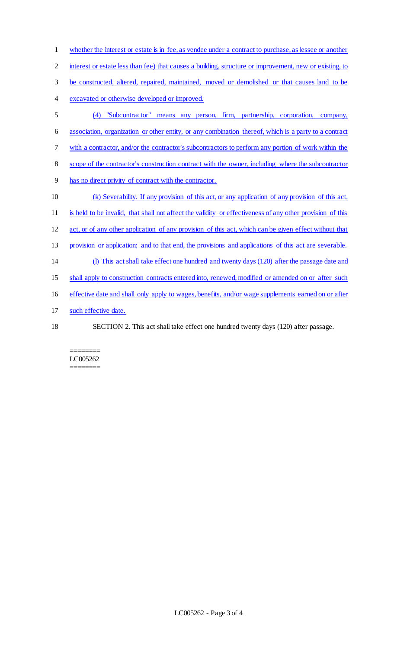whether the interest or estate is in fee, as vendee under a contract to purchase, as lessee or another 2 interest or estate less than fee) that causes a building, structure or improvement, new or existing, to be constructed, altered, repaired, maintained, moved or demolished or that causes land to be excavated or otherwise developed or improved. (4) "Subcontractor" means any person, firm, partnership, corporation, company, association, organization or other entity, or any combination thereof, which is a party to a contract with a contractor, and/or the contractor's subcontractors to perform any portion of work within the scope of the contractor's construction contract with the owner, including where the subcontractor has no direct privity of contract with the contractor. (k) Severability. If any provision of this act, or any application of any provision of this act, is held to be invalid, that shall not affect the validity or effectiveness of any other provision of this act, or of any other application of any provision of this act, which can be given effect without that provision or application; and to that end, the provisions and applications of this act are severable. (l) This act shall take effect one hundred and twenty days (120) after the passage date and shall apply to construction contracts entered into, renewed, modified or amended on or after such effective date and shall only apply to wages, benefits, and/or wage supplements earned on or after 17 such effective date. SECTION 2. This act shall take effect one hundred twenty days (120) after passage.

#### ======== LC005262 ========